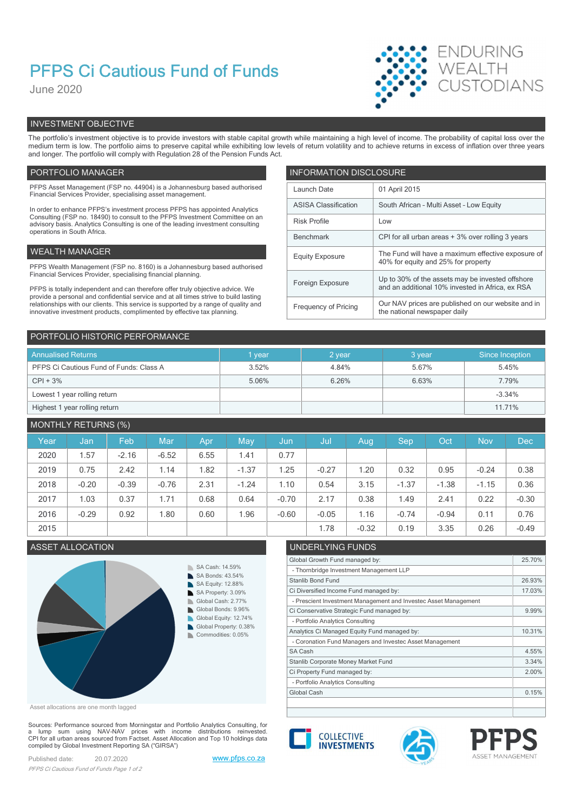# PFPS Ci Cautious Fund of Funds

June 2020



## INVESTMENT OBJECTIVE

The portfolio's investment objective is to provide investors with stable capital growth while maintaining a high level of income. The probability of capital loss over the medium term is low. The portfolio aims to preserve capital while exhibiting low levels of return volatility and to achieve returns in excess of inflation over three years and longer. The portfolio will comply with Regulation 28 of the Pension Funds Act.

### PORTFOLIO MANAGER **INFORMATION DISCLOSURE**

| PFPS Asset Management (FSP no. 44904) is a Johannesburg based authorised<br>Financial Services Provider, specialising asset management.                                | Launch Date                 | 01 April 2015                                                                                        |
|------------------------------------------------------------------------------------------------------------------------------------------------------------------------|-----------------------------|------------------------------------------------------------------------------------------------------|
| In order to enhance PFPS's investment process PFPS has appointed Analytics                                                                                             | <b>ASISA Classification</b> | South African - Multi Asset - Low Equity                                                             |
| Consulting (FSP no. 18490) to consult to the PFPS Investment Committee on an<br>advisory basis. Analytics Consulting is one of the leading investment consulting       | <b>Risk Profile</b>         | Low                                                                                                  |
| operations in South Africa.                                                                                                                                            | Benchmark                   | CPI for all urban areas + 3% over rolling 3 years                                                    |
| WEALTH MANAGER                                                                                                                                                         | <b>Equity Exposure</b>      | The Fund will have a maximum effective exposure of<br>40% for equity and 25% for property            |
| PFPS Wealth Management (FSP no. 8160) is a Johannesburg based authorised                                                                                               |                             |                                                                                                      |
| Financial Services Provider, specialising financial planning.                                                                                                          | Foreign Exposure            | Up to 30% of the assets may be invested offshore<br>and an additional 10% invested in Africa, ex RSA |
| PFPS is totally independent and can therefore offer truly objective advice. We<br>provide a personal and confidential service and at all times strive to build lasting |                             |                                                                                                      |
| relationships with our clients. This service is supported by a range of quality and<br>innovative investment products, complimented by effective tax planning.         | Frequency of Pricing        | Our NAV prices are published on our website and in<br>the national newspaper daily                   |
|                                                                                                                                                                        |                             |                                                                                                      |

| PORTFOLIO HISTORIC PERFORMANCE          |        |        |        |                 |
|-----------------------------------------|--------|--------|--------|-----------------|
| <b>Annualised Returns</b>               | 1 year | 2 year | 3 year | Since Inception |
| PFPS Ci Cautious Fund of Funds: Class A | 3.52%  | 4.84%  | 5.67%  | 5.45%           |
| $CPI + 3%$                              | 5.06%  | 6.26%  | 6.63%  | 7.79%           |
| Lowest 1 year rolling return            |        |        |        | $-3.34%$        |
| Highest 1 year rolling return           |        |        |        | 11.71%          |

## MONTHLY RETURNS (%)

|      |         | $\sim$ $\sim$ |         |      |         |         |         |         |            |         |            |            |
|------|---------|---------------|---------|------|---------|---------|---------|---------|------------|---------|------------|------------|
| Year | Jan     | Feb           | Mar     | Apr  | May     | Jun,    | Jul     | Aug     | <b>Sep</b> | Oct     | <b>Nov</b> | <b>Dec</b> |
| 2020 | .57     | $-2.16$       | $-6.52$ | 6.55 | 1.41    | 0.77    |         |         |            |         |            |            |
| 2019 | 0.75    | 2.42          | 1.14    | .82  | $-1.37$ | 1.25    | $-0.27$ | .20     | 0.32       | 0.95    | $-0.24$    | 0.38       |
| 2018 | $-0.20$ | $-0.39$       | $-0.76$ | 2.31 | $-1.24$ | 1.10    | 0.54    | 3.15    | $-1.37$    | $-1.38$ | $-1.15$    | 0.36       |
| 2017 | .03     | 0.37          | 1.71    | 0.68 | 0.64    | $-0.70$ | 2.17    | 0.38    | 1.49       | 2.41    | 0.22       | $-0.30$    |
| 2016 | $-0.29$ | 0.92          | 1.80    | 0.60 | .96     | $-0.60$ | $-0.05$ | 1.16    | $-0.74$    | $-0.94$ | 0.11       | 0.76       |
| 2015 |         |               |         |      |         |         | 1.78    | $-0.32$ | 0.19       | 3.35    | 0.26       | $-0.49$    |

## ASSET ALLOCATION UNDERLYING FUNDS



Asset allocations are one month lagged

Sources: Performance sourced from Morningstar and Portfolio Analytics Consulting, for a lump sum using NAV-NAV prices with income distributions reinvested.<br>CPI for all urban areas sourced from Factset. Asset Allocation and Top 10 holdings data compiled by Global Investment Reporting SA ("GIRSA")

| Global Growth Fund managed by:                                  | 25.70% |
|-----------------------------------------------------------------|--------|
| - Thornbridge Investment Management LLP                         |        |
| Stanlib Bond Fund                                               | 26.93% |
| Ci Diversified Income Fund managed by:                          | 17.03% |
| - Prescient Investment Management and Investec Asset Management |        |
| Ci Conservative Strategic Fund managed by:                      | 9.99%  |
| - Portfolio Analytics Consulting                                |        |
| Analytics Ci Managed Equity Fund managed by:                    | 10.31% |
| - Coronation Fund Managers and Investec Asset Management        |        |
| SA Cash                                                         | 4.55%  |
| Stanlib Corporate Money Market Fund                             | 3.34%  |
| Ci Property Fund managed by:                                    | 2.00%  |
| - Portfolio Analytics Consulting                                |        |
| Global Cash                                                     | 0.15%  |
|                                                                 |        |







Published date: 20.07.2020 www.pfps.co.za PFPS Ci Cautious Fund of Funds Page 1 of 2